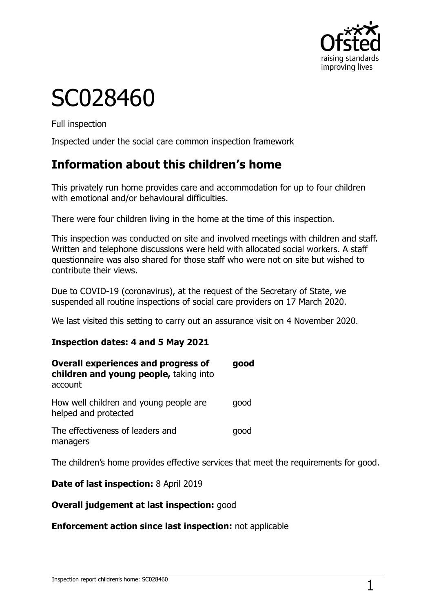

# SC028460

Full inspection

Inspected under the social care common inspection framework

## **Information about this children's home**

This privately run home provides care and accommodation for up to four children with emotional and/or behavioural difficulties.

There were four children living in the home at the time of this inspection.

This inspection was conducted on site and involved meetings with children and staff. Written and telephone discussions were held with allocated social workers. A staff questionnaire was also shared for those staff who were not on site but wished to contribute their views.

Due to COVID-19 (coronavirus), at the request of the Secretary of State, we suspended all routine inspections of social care providers on 17 March 2020.

We last visited this setting to carry out an assurance visit on 4 November 2020.

#### **Inspection dates: 4 and 5 May 2021**

| <b>Overall experiences and progress of</b><br>children and young people, taking into<br>account | good |
|-------------------------------------------------------------------------------------------------|------|
| How well children and young people are<br>helped and protected                                  | qood |
| The effectiveness of leaders and<br>managers                                                    | qood |

The children's home provides effective services that meet the requirements for good.

**Date of last inspection:** 8 April 2019

#### **Overall judgement at last inspection:** good

#### **Enforcement action since last inspection:** not applicable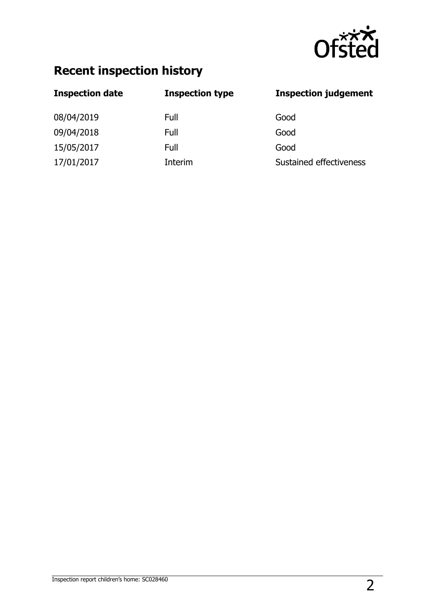

# **Recent inspection history**

| <b>Inspection date</b> | <b>Inspection type</b> | <b>Inspection judgement</b> |
|------------------------|------------------------|-----------------------------|
| 08/04/2019             | Full                   | Good                        |
| 09/04/2018             | Full                   | Good                        |
| 15/05/2017             | Full                   | Good                        |
| 17/01/2017             | Interim                | Sustained effectiveness     |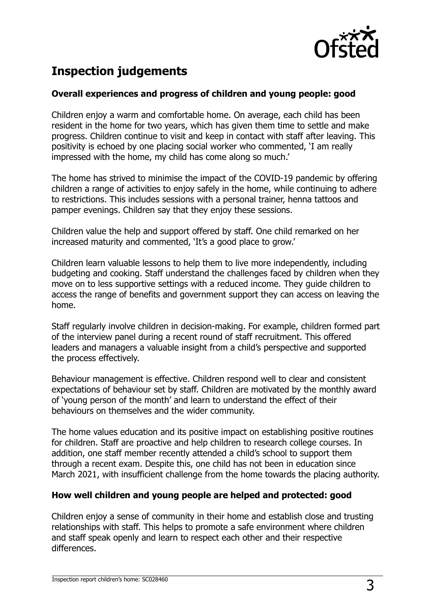

# **Inspection judgements**

#### **Overall experiences and progress of children and young people: good**

Children enjoy a warm and comfortable home. On average, each child has been resident in the home for two years, which has given them time to settle and make progress. Children continue to visit and keep in contact with staff after leaving. This positivity is echoed by one placing social worker who commented, 'I am really impressed with the home, my child has come along so much.'

The home has strived to minimise the impact of the COVID-19 pandemic by offering children a range of activities to enjoy safely in the home, while continuing to adhere to restrictions. This includes sessions with a personal trainer, henna tattoos and pamper evenings. Children say that they enjoy these sessions.

Children value the help and support offered by staff. One child remarked on her increased maturity and commented, 'It's a good place to grow.'

Children learn valuable lessons to help them to live more independently, including budgeting and cooking. Staff understand the challenges faced by children when they move on to less supportive settings with a reduced income. They guide children to access the range of benefits and government support they can access on leaving the home.

Staff regularly involve children in decision-making. For example, children formed part of the interview panel during a recent round of staff recruitment. This offered leaders and managers a valuable insight from a child's perspective and supported the process effectively.

Behaviour management is effective. Children respond well to clear and consistent expectations of behaviour set by staff. Children are motivated by the monthly award of 'young person of the month' and learn to understand the effect of their behaviours on themselves and the wider community.

The home values education and its positive impact on establishing positive routines for children. Staff are proactive and help children to research college courses. In addition, one staff member recently attended a child's school to support them through a recent exam. Despite this, one child has not been in education since March 2021, with insufficient challenge from the home towards the placing authority.

#### **How well children and young people are helped and protected: good**

Children enjoy a sense of community in their home and establish close and trusting relationships with staff. This helps to promote a safe environment where children and staff speak openly and learn to respect each other and their respective differences.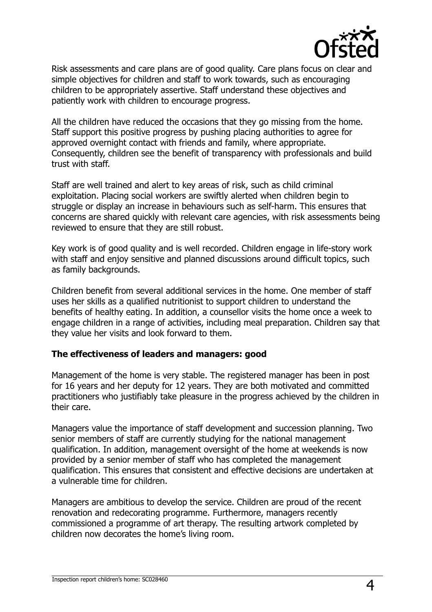

Risk assessments and care plans are of good quality. Care plans focus on clear and simple objectives for children and staff to work towards, such as encouraging children to be appropriately assertive. Staff understand these objectives and patiently work with children to encourage progress.

All the children have reduced the occasions that they go missing from the home. Staff support this positive progress by pushing placing authorities to agree for approved overnight contact with friends and family, where appropriate. Consequently, children see the benefit of transparency with professionals and build trust with staff.

Staff are well trained and alert to key areas of risk, such as child criminal exploitation. Placing social workers are swiftly alerted when children begin to struggle or display an increase in behaviours such as self-harm. This ensures that concerns are shared quickly with relevant care agencies, with risk assessments being reviewed to ensure that they are still robust.

Key work is of good quality and is well recorded. Children engage in life-story work with staff and enjoy sensitive and planned discussions around difficult topics, such as family backgrounds.

Children benefit from several additional services in the home. One member of staff uses her skills as a qualified nutritionist to support children to understand the benefits of healthy eating. In addition, a counsellor visits the home once a week to engage children in a range of activities, including meal preparation. Children say that they value her visits and look forward to them.

#### **The effectiveness of leaders and managers: good**

Management of the home is very stable. The registered manager has been in post for 16 years and her deputy for 12 years. They are both motivated and committed practitioners who justifiably take pleasure in the progress achieved by the children in their care.

Managers value the importance of staff development and succession planning. Two senior members of staff are currently studying for the national management qualification. In addition, management oversight of the home at weekends is now provided by a senior member of staff who has completed the management qualification. This ensures that consistent and effective decisions are undertaken at a vulnerable time for children.

Managers are ambitious to develop the service. Children are proud of the recent renovation and redecorating programme. Furthermore, managers recently commissioned a programme of art therapy. The resulting artwork completed by children now decorates the home's living room.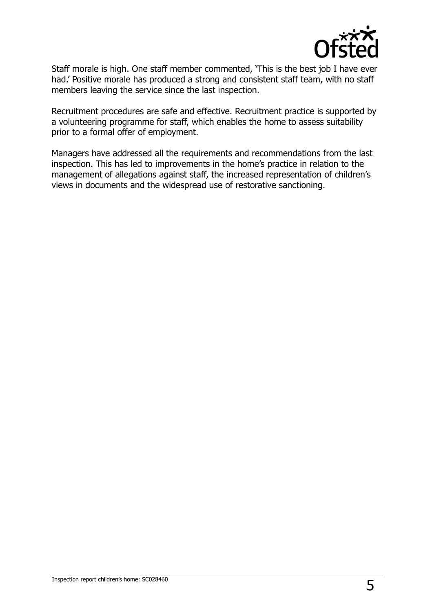

Staff morale is high. One staff member commented, 'This is the best job I have ever had.' Positive morale has produced a strong and consistent staff team, with no staff members leaving the service since the last inspection.

Recruitment procedures are safe and effective. Recruitment practice is supported by a volunteering programme for staff, which enables the home to assess suitability prior to a formal offer of employment.

Managers have addressed all the requirements and recommendations from the last inspection. This has led to improvements in the home's practice in relation to the management of allegations against staff, the increased representation of children's views in documents and the widespread use of restorative sanctioning.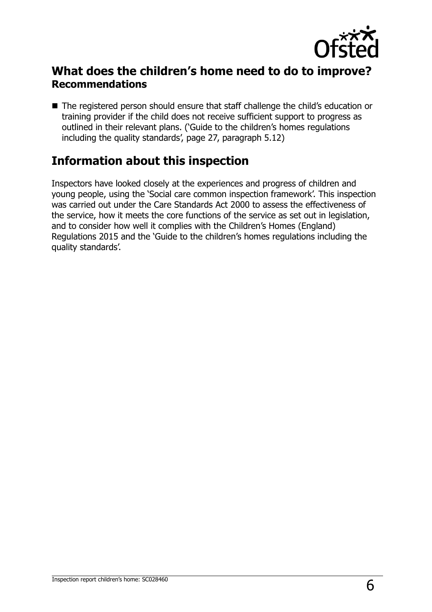

### **What does the children's home need to do to improve? Recommendations**

■ The registered person should ensure that staff challenge the child's education or training provider if the child does not receive sufficient support to progress as outlined in their relevant plans. ('Guide to the children's homes regulations including the quality standards', page 27, paragraph 5.12)

## **Information about this inspection**

Inspectors have looked closely at the experiences and progress of children and young people, using the 'Social care common inspection framework'. This inspection was carried out under the Care Standards Act 2000 to assess the effectiveness of the service, how it meets the core functions of the service as set out in legislation, and to consider how well it complies with the Children's Homes (England) Regulations 2015 and the 'Guide to the children's homes regulations including the quality standards'.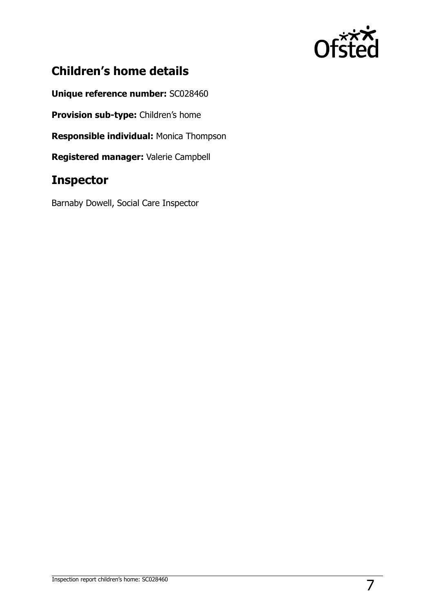

# **Children's home details**

**Unique reference number:** SC028460

**Provision sub-type:** Children's home

**Responsible individual:** Monica Thompson

**Registered manager:** Valerie Campbell

## **Inspector**

Barnaby Dowell, Social Care Inspector